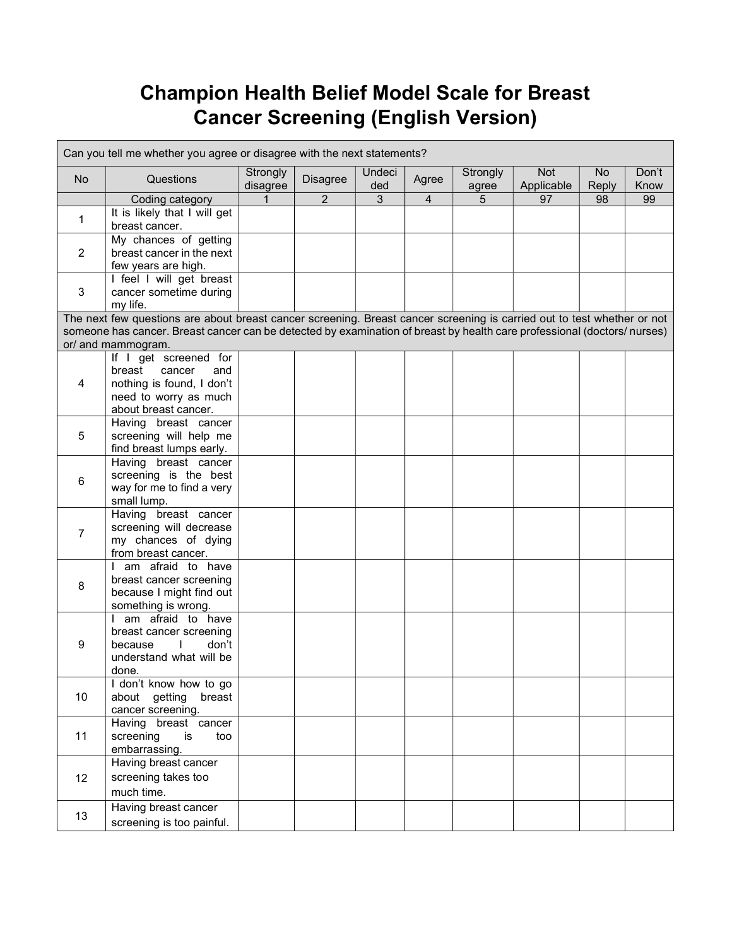## Champion Health Belief Model Scale for Breast Cancer Screening (English Version)

| Can you tell me whether you agree or disagree with the next statements?                                                                       |                                                                                                                         |                      |                |               |                |                   |                          |                    |               |
|-----------------------------------------------------------------------------------------------------------------------------------------------|-------------------------------------------------------------------------------------------------------------------------|----------------------|----------------|---------------|----------------|-------------------|--------------------------|--------------------|---------------|
| No                                                                                                                                            | Questions                                                                                                               | Strongly<br>disagree | Disagree       | Undeci<br>ded | Agree          | Strongly<br>agree | <b>Not</b><br>Applicable | <b>No</b><br>Reply | Don't<br>Know |
|                                                                                                                                               | Coding category                                                                                                         | 1                    | $\overline{2}$ | 3             | $\overline{4}$ | 5                 | 97                       | 98                 | 99            |
| $\mathbf 1$                                                                                                                                   | It is likely that I will get<br>breast cancer.                                                                          |                      |                |               |                |                   |                          |                    |               |
| $\overline{2}$                                                                                                                                | My chances of getting<br>breast cancer in the next<br>few years are high.                                               |                      |                |               |                |                   |                          |                    |               |
| 3                                                                                                                                             | I feel I will get breast<br>cancer sometime during<br>my life.                                                          |                      |                |               |                |                   |                          |                    |               |
|                                                                                                                                               | The next few questions are about breast cancer screening. Breast cancer screening is carried out to test whether or not |                      |                |               |                |                   |                          |                    |               |
| someone has cancer. Breast cancer can be detected by examination of breast by health care professional (doctors/nurses)<br>or/ and mammogram. |                                                                                                                         |                      |                |               |                |                   |                          |                    |               |
|                                                                                                                                               | If I get screened for                                                                                                   |                      |                |               |                |                   |                          |                    |               |
|                                                                                                                                               | breast<br>cancer<br>and                                                                                                 |                      |                |               |                |                   |                          |                    |               |
| 4                                                                                                                                             | nothing is found, I don't                                                                                               |                      |                |               |                |                   |                          |                    |               |
|                                                                                                                                               | need to worry as much                                                                                                   |                      |                |               |                |                   |                          |                    |               |
|                                                                                                                                               | about breast cancer.                                                                                                    |                      |                |               |                |                   |                          |                    |               |
|                                                                                                                                               | Having breast cancer                                                                                                    |                      |                |               |                |                   |                          |                    |               |
| 5                                                                                                                                             | screening will help me                                                                                                  |                      |                |               |                |                   |                          |                    |               |
|                                                                                                                                               | find breast lumps early.                                                                                                |                      |                |               |                |                   |                          |                    |               |
| 6                                                                                                                                             | Having breast cancer                                                                                                    |                      |                |               |                |                   |                          |                    |               |
|                                                                                                                                               | screening is the best                                                                                                   |                      |                |               |                |                   |                          |                    |               |
|                                                                                                                                               | way for me to find a very                                                                                               |                      |                |               |                |                   |                          |                    |               |
|                                                                                                                                               | small lump.                                                                                                             |                      |                |               |                |                   |                          |                    |               |
| $\overline{7}$                                                                                                                                | Having breast cancer                                                                                                    |                      |                |               |                |                   |                          |                    |               |
|                                                                                                                                               | screening will decrease                                                                                                 |                      |                |               |                |                   |                          |                    |               |
|                                                                                                                                               | my chances of dying                                                                                                     |                      |                |               |                |                   |                          |                    |               |
|                                                                                                                                               | from breast cancer.                                                                                                     |                      |                |               |                |                   |                          |                    |               |
| 8                                                                                                                                             | am afraid to have                                                                                                       |                      |                |               |                |                   |                          |                    |               |
|                                                                                                                                               | breast cancer screening                                                                                                 |                      |                |               |                |                   |                          |                    |               |
|                                                                                                                                               | because I might find out                                                                                                |                      |                |               |                |                   |                          |                    |               |
|                                                                                                                                               | something is wrong.<br>I am afraid to have                                                                              |                      |                |               |                |                   |                          |                    |               |
| 9                                                                                                                                             | breast cancer screening                                                                                                 |                      |                |               |                |                   |                          |                    |               |
|                                                                                                                                               | don't<br>because                                                                                                        |                      |                |               |                |                   |                          |                    |               |
|                                                                                                                                               | understand what will be                                                                                                 |                      |                |               |                |                   |                          |                    |               |
|                                                                                                                                               | done.                                                                                                                   |                      |                |               |                |                   |                          |                    |               |
| 10                                                                                                                                            | I don't know how to go                                                                                                  |                      |                |               |                |                   |                          |                    |               |
|                                                                                                                                               | about getting<br>breast                                                                                                 |                      |                |               |                |                   |                          |                    |               |
|                                                                                                                                               | cancer screening.                                                                                                       |                      |                |               |                |                   |                          |                    |               |
| 11                                                                                                                                            | Having breast cancer                                                                                                    |                      |                |               |                |                   |                          |                    |               |
|                                                                                                                                               | screening<br>is<br>too                                                                                                  |                      |                |               |                |                   |                          |                    |               |
|                                                                                                                                               | embarrassing.                                                                                                           |                      |                |               |                |                   |                          |                    |               |
| 12                                                                                                                                            | Having breast cancer                                                                                                    |                      |                |               |                |                   |                          |                    |               |
|                                                                                                                                               | screening takes too                                                                                                     |                      |                |               |                |                   |                          |                    |               |
|                                                                                                                                               | much time.                                                                                                              |                      |                |               |                |                   |                          |                    |               |
|                                                                                                                                               | Having breast cancer                                                                                                    |                      |                |               |                |                   |                          |                    |               |
| 13                                                                                                                                            |                                                                                                                         |                      |                |               |                |                   |                          |                    |               |
|                                                                                                                                               | screening is too painful.                                                                                               |                      |                |               |                |                   |                          |                    |               |